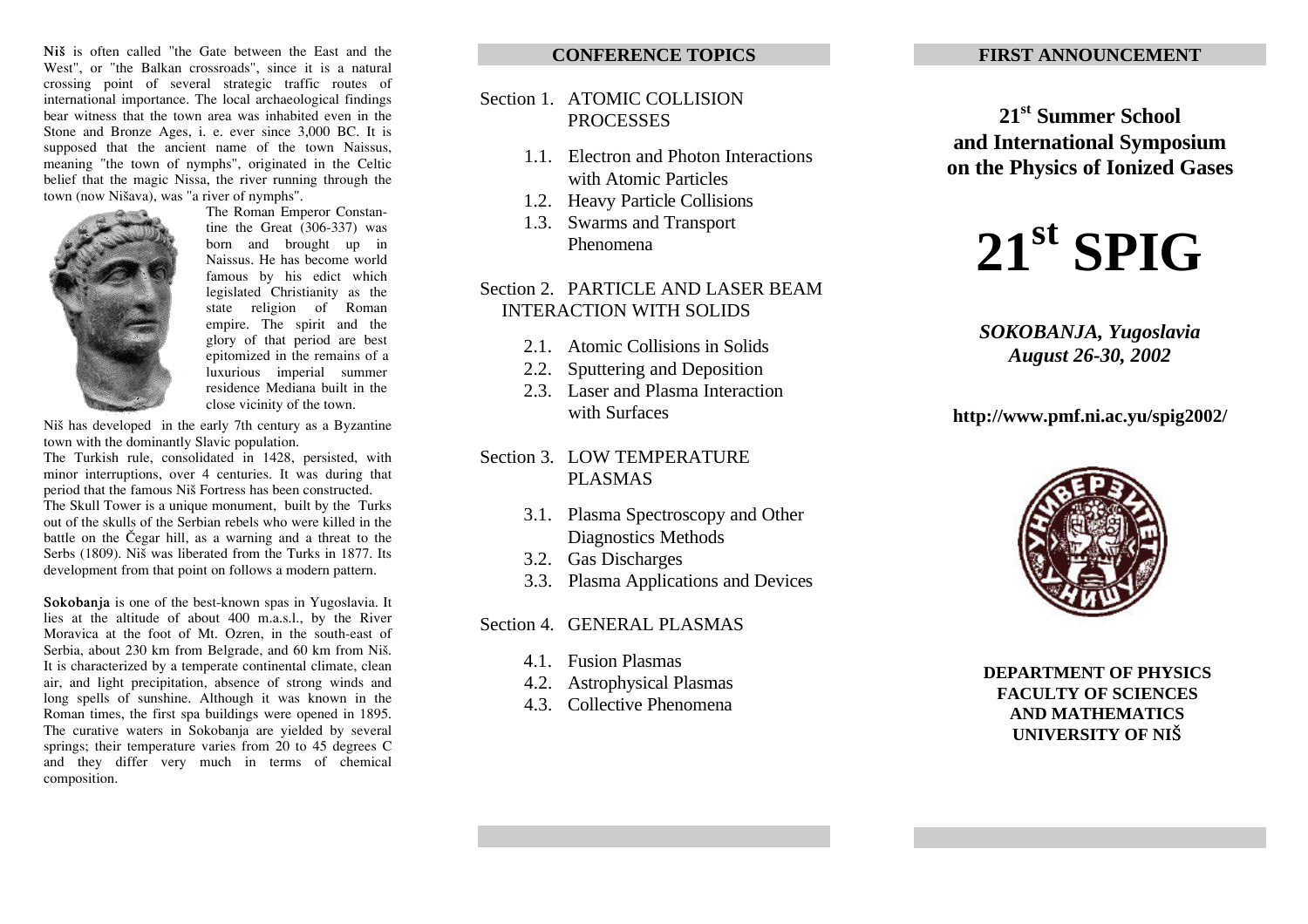Ni<sup> $\check{\mathbf{s}}$ </sup> is often called "the Gate between the East and the West", or "the Balkan crossroads", since it is a natural crossing point of several strategic traffic routes of international importance. The local archaeological findings bear witness that the town area was inhabited even in the Stone and Bronze Ages, i. e. ever since 3,000 BC. It is supposed that the ancient name of the town Naissus, meaning "the town of nymphs", originated in the Celtic belief that the magic Nissa, the river running through the town (now Nišava), was "a river of nymphs".



The Roman Emperor Constantine the Great (306-337) was born and brought up in Naissus. He has become world famous by his edict which legislated Christianity as the state religion of Roman empire. The spirit and the glory of that period are best epitomized in the remains of a luxurious imperial summer residence Mediana built in the close vicinity of the town.

Niš has developed in the early 7th century as a Byzantine town with the dominantly Slavic population.

The Turkish rule, consolidated in 1428, persisted, with minor interruptions, over 4 centuries. It was during that period that the famous Niš Fortress has been constructed. The Skull Tower is a unique monument, built by the Turks out of the skulls of the Serbian rebels who were killed in the battle on the Čegar hill, as a warning and a threat to the Serbs (1809). Niš was liberated from the Turks in 1877. Its development from that point on follows a modern pattern.

**Sokobanja** is one of the best-known spas in Yugoslavia. It lies at the altitude of about 400 m.a.s.l., by the River Moravica at the foot of Mt. Ozren, in the south-east of Serbia, about 230 km from Belgrade, and 60 km from Niš. It is characterized by a temperate continental climate, clean air, and light precipitation, absence of strong winds and long spells of sunshine. Although it was known in the Roman times, the first spa buildings were opened in 1895. The curative waters in Sokobanja are yielded by several springs; their temperature varies from 20 to 45 degrees C and they differ very much in terms of chemical composition.

### **CONFERENCE TOPICS**

## Section 1. ATOMIC COLLISION PROCESSES

- 1.1. Electron and Photon Interactions with Atomic Particles
- 1.2. Heavy Particle Collisions
- 1.3. Swarms and Transport Phenomena

# Section 2. PARTICLE AND LASER BEAM INTERACTION WITH SOLIDS

- 2.1. Atomic Collisions in Solids
- 2.2. Sputtering and Deposition
- 2.3. Laser and Plasma Interaction with Surfaces
- Section 3. LOW TEMPERATURE PLASMAS
	- 3.1. Plasma Spectroscopy and Other Diagnostics Methods
	- 3.2. Gas Discharges
	- 3.3. Plasma Applications and Devices

## Section 4. GENERAL PLASMAS

- 4.1. Fusion Plasmas
- 4.2. Astrophysical Plasmas
- 4.3. Collective Phenomena

## **FIRST ANNOUNCEMENT**

# **21st Summer School and International Symposium on the Physics of Ionized Gases**

# $21^{\text{st}}$  **SPIG**

# *SOKOBANJA, Yugoslavia August 26-30, 2002*

# **http://www.pmf.ni.ac.yu/spig2002/**



# **DEPARTMENT OF PHYSICS FACULTY OF SCIENCES AND MATHEMATICS UNIVERSITY OF NI[**